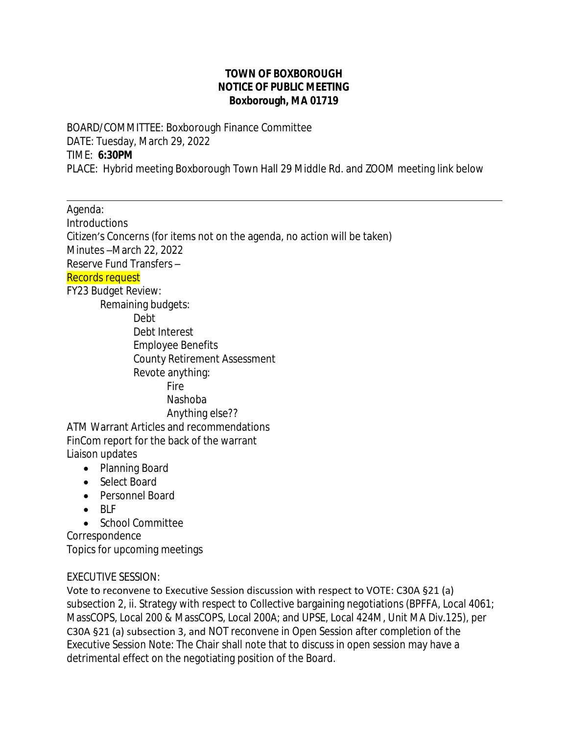## **TOWN OF BOXBOROUGH NOTICE OF PUBLIC MEETING Boxborough, MA 01719**

BOARD/COMMITTEE: Boxborough Finance Committee DATE: Tuesday, March 29, 2022 TIME: **6:30PM** PLACE: Hybrid meeting Boxborough Town Hall 29 Middle Rd. and ZOOM meeting link below

 $\overline{a}$ Agenda: Introductions Citizen's Concerns (for items not on the agenda, no action will be taken) Minutes –March 22, 2022 Reserve Fund Transfers – Records request FY23 Budget Review: Remaining budgets: Debt Debt Interest Employee Benefits County Retirement Assessment Revote anything: Fire Nashoba Anything else?? ATM Warrant Articles and recommendations FinCom report for the back of the warrant Liaison updates

- Planning Board
- Select Board
- Personnel Board
- $-BIF$
- School Committee

Correspondence Topics for upcoming meetings

## EXECUTIVE SESSION:

Vote to reconvene to Executive Session discussion with respect to VOTE: C30A §21 (a) subsection 2, ii. Strategy with respect to Collective bargaining negotiations (BPFFA, Local 4061; MassCOPS, Local 200 & MassCOPS, Local 200A; and UPSE, Local 424M, Unit MA Div.125), per C30A §21 (a) subsection 3, and NOT reconvene in Open Session after completion of the Executive Session Note: The Chair shall note that to discuss in open session may have a detrimental effect on the negotiating position of the Board.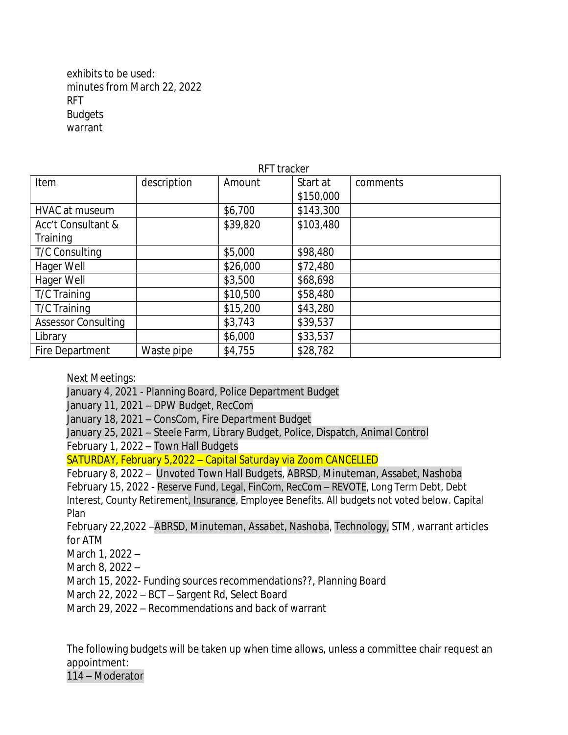exhibits to be used: minutes from March 22, 2022 RFT **Budgets** warrant

| <b>RFT</b> tracker         |             |          |           |          |
|----------------------------|-------------|----------|-----------|----------|
| Item                       | description | Amount   | Start at  | comments |
|                            |             |          | \$150,000 |          |
| HVAC at museum             |             | \$6,700  | \$143,300 |          |
| Acc't Consultant &         |             | \$39,820 | \$103,480 |          |
| Training                   |             |          |           |          |
| <b>T/C Consulting</b>      |             | \$5,000  | \$98,480  |          |
| Hager Well                 |             | \$26,000 | \$72,480  |          |
| Hager Well                 |             | \$3,500  | \$68,698  |          |
| T/C Training               |             | \$10,500 | \$58,480  |          |
| T/C Training               |             | \$15,200 | \$43,280  |          |
| <b>Assessor Consulting</b> |             | \$3,743  | \$39,537  |          |
| Library                    |             | \$6,000  | \$33,537  |          |
| Fire Department            | Waste pipe  | \$4,755  | \$28,782  |          |

Next Meetings:

January 4, 2021 - Planning Board, Police Department Budget January 11, 2021 – DPW Budget, RecCom January 18, 2021 – ConsCom, Fire Department Budget January 25, 2021 – Steele Farm, Library Budget, Police, Dispatch, Animal Control February 1, 2022 – Town Hall Budgets SATURDAY, February 5,2022 – Capital Saturday via Zoom CANCELLED

February 8, 2022 – Unvoted Town Hall Budgets, ABRSD, Minuteman, Assabet, Nashoba February 15, 2022 - Reserve Fund, Legal, FinCom, RecCom – REVOTE, Long Term Debt, Debt Interest, County Retirement, Insurance, Employee Benefits. All budgets not voted below. Capital Plan

February 22,2022 –ABRSD, Minuteman, Assabet, Nashoba, Technology, STM, warrant articles for ATM

March 1, 2022 –

March 8, 2022 –

March 15, 2022- Funding sources recommendations??, Planning Board

March 22, 2022 – BCT – Sargent Rd, Select Board

March 29, 2022 – Recommendations and back of warrant

The following budgets will be taken up when time allows, unless a committee chair request an appointment:

114 – Moderator